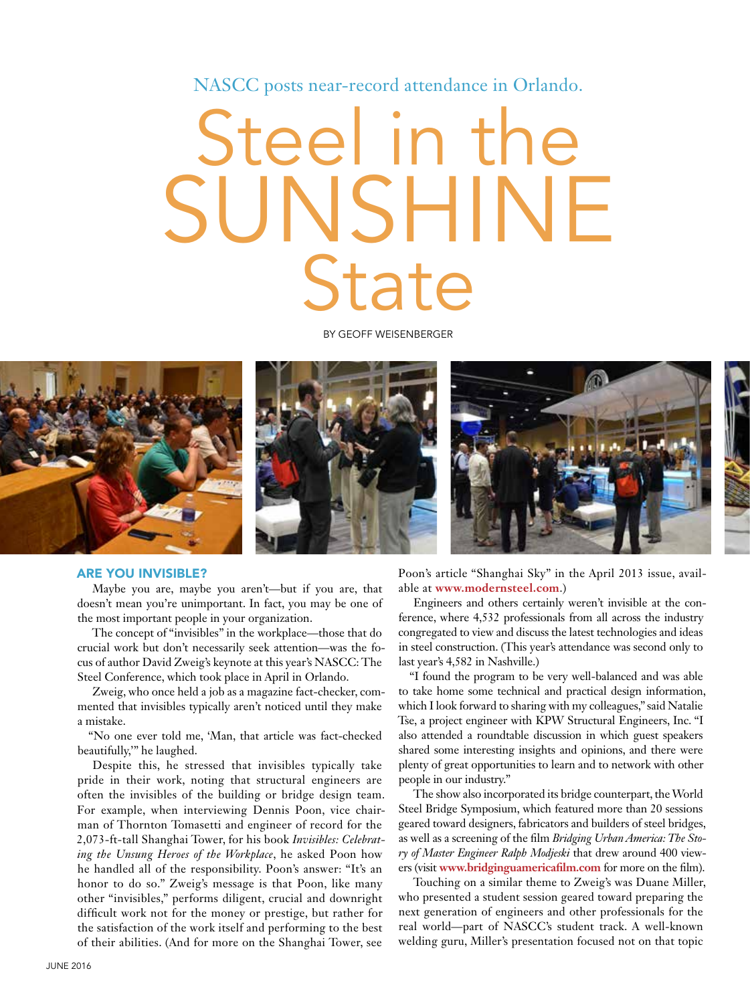NASCC posts near-record attendance in Orlando.

## Steel in the SUNSHINE **State**

BY GEOFF WEISENBERGER



## ARE YOU INVISIBLE?

Maybe you are, maybe you aren't—but if you are, that doesn't mean you're unimportant. In fact, you may be one of the most important people in your organization.

The concept of "invisibles" in the workplace—those that do crucial work but don't necessarily seek attention—was the focus of author David Zweig's keynote at this year's NASCC: The Steel Conference, which took place in April in Orlando.

Zweig, who once held a job as a magazine fact-checker, commented that invisibles typically aren't noticed until they make a mistake.

"No one ever told me, 'Man, that article was fact-checked beautifully,'" he laughed.

Despite this, he stressed that invisibles typically take pride in their work, noting that structural engineers are often the invisibles of the building or bridge design team. For example, when interviewing Dennis Poon, vice chairman of Thornton Tomasetti and engineer of record for the 2,073-ft-tall Shanghai Tower, for his book *Invisibles: Celebrating the Unsung Heroes of the Workplace*, he asked Poon how he handled all of the responsibility. Poon's answer: "It's an honor to do so." Zweig's message is that Poon, like many other "invisibles," performs diligent, crucial and downright difficult work not for the money or prestige, but rather for the satisfaction of the work itself and performing to the best of their abilities. (And for more on the Shanghai Tower, see

Poon's article "Shanghai Sky" in the April 2013 issue, available at **www.modernsteel.com**.)

Engineers and others certainly weren't invisible at the conference, where 4,532 professionals from all across the industry congregated to view and discuss the latest technologies and ideas in steel construction. (This year's attendance was second only to last year's 4,582 in Nashville.)

"I found the program to be very well-balanced and was able to take home some technical and practical design information, which I look forward to sharing with my colleagues," said Natalie Tse, a project engineer with KPW Structural Engineers, Inc. "I also attended a roundtable discussion in which guest speakers shared some interesting insights and opinions, and there were plenty of great opportunities to learn and to network with other people in our industry."

The show also incorporated its bridge counterpart, the World Steel Bridge Symposium, which featured more than 20 sessions geared toward designers, fabricators and builders of steel bridges, as well as a screening of the film *Bridging Urban America: The Story of Master Engineer Ralph Modjeski* that drew around 400 viewers (visit **www.bridginguamericafilm.com** for more on the film).

Touching on a similar theme to Zweig's was Duane Miller, who presented a student session geared toward preparing the next generation of engineers and other professionals for the real world—part of NASCC's student track. A well-known welding guru, Miller's presentation focused not on that topic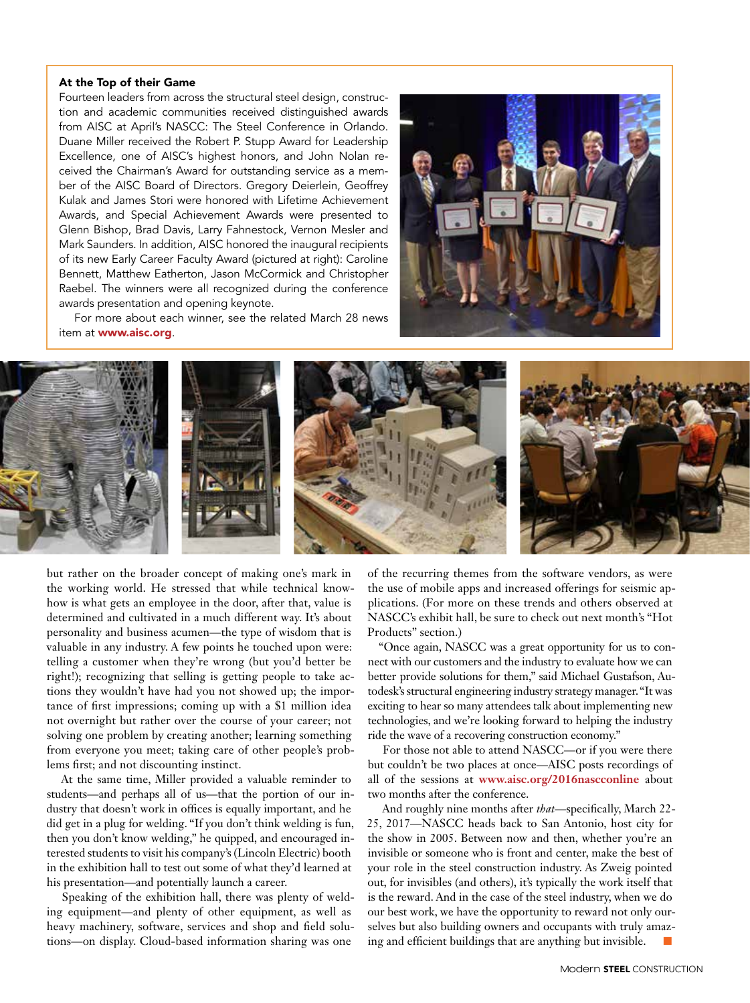## At the Top of their Game

Fourteen leaders from across the structural steel design, construction and academic communities received distinguished awards from AISC at April's NASCC: The Steel Conference in Orlando. Duane Miller received the Robert P. Stupp Award for Leadership Excellence, one of AISC's highest honors, and John Nolan received the Chairman's Award for outstanding service as a member of the AISC Board of Directors. Gregory Deierlein, Geoffrey Kulak and James Stori were honored with Lifetime Achievement Awards, and Special Achievement Awards were presented to Glenn Bishop, Brad Davis, Larry Fahnestock, Vernon Mesler and Mark Saunders. In addition, AISC honored the inaugural recipients of its new Early Career Faculty Award (pictured at right): Caroline Bennett, Matthew Eatherton, Jason McCormick and Christopher Raebel. The winners were all recognized during the conference awards presentation and opening keynote.



For more about each winner, see the related March 28 news item at www.aisc.org.



but rather on the broader concept of making one's mark in the working world. He stressed that while technical knowhow is what gets an employee in the door, after that, value is determined and cultivated in a much different way. It's about personality and business acumen—the type of wisdom that is valuable in any industry. A few points he touched upon were: telling a customer when they're wrong (but you'd better be right!); recognizing that selling is getting people to take actions they wouldn't have had you not showed up; the importance of first impressions; coming up with a \$1 million idea not overnight but rather over the course of your career; not solving one problem by creating another; learning something from everyone you meet; taking care of other people's problems first; and not discounting instinct.

At the same time, Miller provided a valuable reminder to students—and perhaps all of us—that the portion of our industry that doesn't work in offices is equally important, and he did get in a plug for welding. "If you don't think welding is fun, then you don't know welding," he quipped, and encouraged interested students to visit his company's (Lincoln Electric) booth in the exhibition hall to test out some of what they'd learned at his presentation—and potentially launch a career.

Speaking of the exhibition hall, there was plenty of welding equipment—and plenty of other equipment, as well as heavy machinery, software, services and shop and field solutions—on display. Cloud-based information sharing was one

of the recurring themes from the software vendors, as were the use of mobile apps and increased offerings for seismic applications. (For more on these trends and others observed at NASCC's exhibit hall, be sure to check out next month's "Hot Products" section.)

"Once again, NASCC was a great opportunity for us to connect with our customers and the industry to evaluate how we can better provide solutions for them," said Michael Gustafson, Autodesk's structural engineering industry strategy manager. "It was exciting to hear so many attendees talk about implementing new technologies, and we're looking forward to helping the industry ride the wave of a recovering construction economy."

For those not able to attend NASCC—or if you were there but couldn't be two places at once—AISC posts recordings of all of the sessions at **www.aisc.org/2016nascconline** about two months after the conference.

And roughly nine months after *that*—specifically, March 22- 25, 2017—NASCC heads back to San Antonio, host city for the show in 2005. Between now and then, whether you're an invisible or someone who is front and center, make the best of your role in the steel construction industry. As Zweig pointed out, for invisibles (and others), it's typically the work itself that is the reward. And in the case of the steel industry, when we do our best work, we have the opportunity to reward not only ourselves but also building owners and occupants with truly amazing and efficient buildings that are anything but invisible.